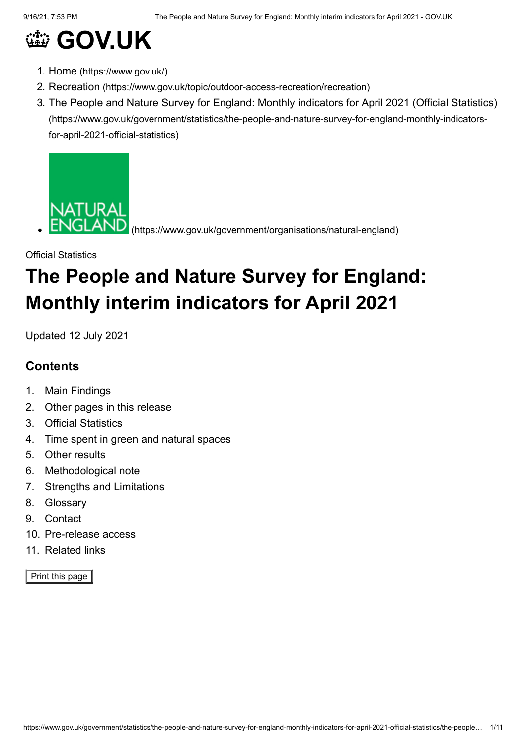# **@ [GOV.UK](https://www.gov.uk/)**

- 1. Home [\(https://www.gov.uk/\)](https://www.gov.uk/)
- 2. Recreation [\(https://www.gov.uk/topic/outdoor-access-recreation/recreation\)](https://www.gov.uk/topic/outdoor-access-recreation/recreation)
- 3. [The People and Nature Survey for England: Monthly indicators for April 2021 \(Official Statistics\)](https://www.gov.uk/government/statistics/the-people-and-nature-survey-for-england-monthly-indicators-for-april-2021-official-statistics) (https://www.gov.uk/government/statistics/the-people-and-nature-survey-for-england-monthly-indicatorsfor-april-2021-official-statistics)



[\(https://www.gov.uk/government/organisations/natural-england\)](https://www.gov.uk/government/organisations/natural-england)

## Official Statistics **The People and Nature Survey for England: Monthly interim indicators for April 2021**

Updated 12 July 2021

## **Contents**

- 1. Main Findings
- 2. Other pages in this release
- 3. Official Statistics
- 4. Time spent in green and natural spaces
- 5. Other results
- 6. Methodological note
- 7. Strengths and Limitations
- 8. Glossary
- 9. Contact
- 10. Pre-release access
- 11. Related links

Print this page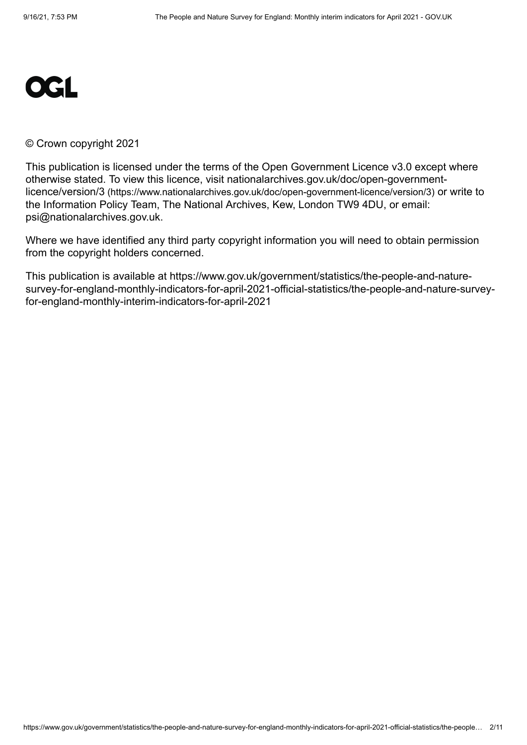

#### © Crown copyright 2021

This publication is licensed under the terms of the Open Government Licence v3.0 except where [otherwise stated. To view this licence, visit nationalarchives.gov.uk/doc/open-government](https://www.nationalarchives.gov.uk/doc/open-government-licence/version/3)licence/version/3 (https://www.nationalarchives.gov.uk/doc/open-government-licence/version/3) or write to the Information Policy Team, The National Archives, Kew, London TW9 4DU, or email: [psi@nationalarchives.gov.uk](mailto:psi@nationalarchives.gov.uk).

Where we have identified any third party copyright information you will need to obtain permission from the copyright holders concerned.

This publication is available at https://www.gov.uk/government/statistics/the-people-and-naturesurvey-for-england-monthly-indicators-for-april-2021-official-statistics/the-people-and-nature-surveyfor-england-monthly-interim-indicators-for-april-2021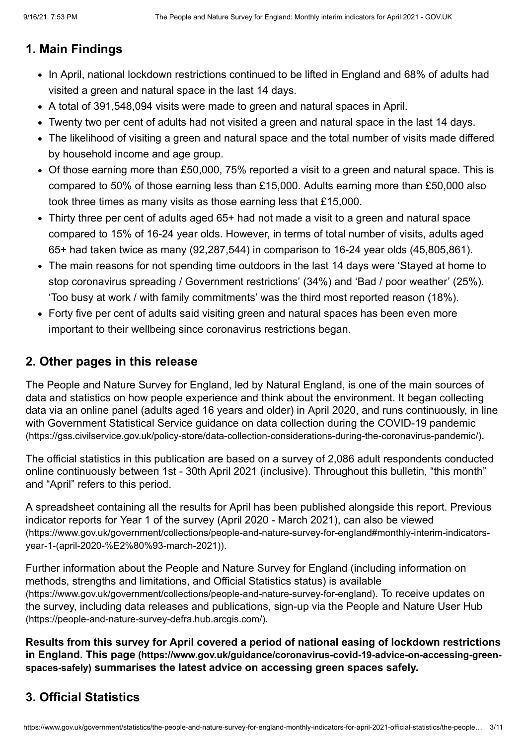## **1. Main Findings**

- In April, national lockdown restrictions continued to be lifted in England and 68% of adults had visited a green and natural space in the last 14 days.
- A total of 391,548,094 visits were made to green and natural spaces in April.
- Twenty two per cent of adults had not visited a green and natural space in the last 14 days.
- The likelihood of visiting a green and natural space and the total number of visits made differed by household income and age group.
- Of those earning more than £50,000, 75% reported a visit to a green and natural space. This is compared to 50% of those earning less than £15,000. Adults earning more than £50,000 also took three times as many visits as those earning less that £15,000.
- Thirty three per cent of adults aged 65+ had not made a visit to a green and natural space compared to 15% of 16-24 year olds. However, in terms of total number of visits, adults aged 65+ had taken twice as many (92,287,544) in comparison to 16-24 year olds (45,805,861).
- The main reasons for not spending time outdoors in the last 14 days were 'Stayed at home to stop coronavirus spreading / Government restrictions' (34%) and 'Bad / poor weather' (25%). 'Too busy at work / with family commitments' was the third most reported reason (18%).
- Forty five per cent of adults said visiting green and natural spaces has been even more important to their wellbeing since coronavirus restrictions began.

## **2. Other pages in this release**

The People and Nature Survey for England, led by Natural England, is one of the main sources of data and statistics on how people experience and think about the environment. It began collecting data via an online panel (adults aged 16 years and older) in April 2020, and runs continuously, in line [with Government Statistical Service guidance on data collection during the COVID-19 pandemic](https://gss.civilservice.gov.uk/policy-store/data-collection-considerations-during-the-coronavirus-pandemic/) (https://gss.civilservice.gov.uk/policy-store/data-collection-considerations-during-the-coronavirus-pandemic/).

The official statistics in this publication are based on a survey of 2,086 adult respondents conducted online continuously between 1st - 30th April 2021 (inclusive). Throughout this bulletin, "this month" and "April" refers to this period.

A spreadsheet containing all the results for April has been published alongside this report. Previous indicator reports for Year 1 of the survey (April 2020 - March 2021), can also be viewed [\(https://www.gov.uk/government/collections/people-and-nature-survey-for-england#monthly-interim-indicators](https://www.gov.uk/government/collections/people-and-nature-survey-for-england#monthly-interim-indicators-year-1-(april-2020-%E2%80%93-march-2021))year-1-(april-2020-%E2%80%93-march-2021)).

Further information about the People and Nature Survey for England (including information on [methods, strengths and limitations, and Official Statistics status\) is available](https://www.gov.uk/government/collections/people-and-nature-survey-for-england) (https://www.gov.uk/government/collections/people-and-nature-survey-for-england). To receive updates on [the survey, including data releases and publications, sign-up via the People and Nature User Hub](https://people-and-nature-survey-defra.hub.arcgis.com/) (https://people-and-nature-survey-defra.hub.arcgis.com/).

**Results from this survey for April covered a period of national easing of lockdown restrictions in England. This page [\(https://www.gov.uk/guidance/coronavirus-covid-19-advice-on-accessing-green](https://www.gov.uk/guidance/coronavirus-covid-19-advice-on-accessing-green-spaces-safely)spaces-safely) summarises the latest advice on accessing green spaces safely.**

## **3. Official Statistics**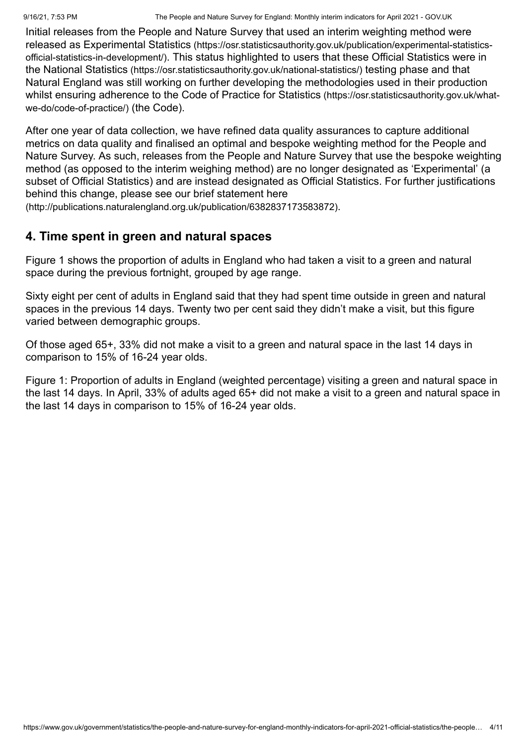Initial releases from the People and Nature Survey that used an interim weighting method were released as Experimental Statistics (https://osr.statisticsauthority.gov.uk/publication/experimental-statisticsofficial-statistics-in-development/)[. This status highlighted to users that these Official Statistics were in](https://osr.statisticsauthority.gov.uk/publication/experimental-statistics-official-statistics-in-development/) the National Statistics [\(https://osr.statisticsauthority.gov.uk/national-statistics/\)](https://osr.statisticsauthority.gov.uk/national-statistics/) testing phase and that Natural England was still working on further developing the methodologies used in their production [whilst ensuring adherence to the Code of Practice for Statistics](https://osr.statisticsauthority.gov.uk/what-we-do/code-of-practice/) (https://osr.statisticsauthority.gov.uk/whatwe-do/code-of-practice/) (the Code).

After one year of data collection, we have refined data quality assurances to capture additional metrics on data quality and finalised an optimal and bespoke weighting method for the People and Nature Survey. As such, releases from the People and Nature Survey that use the bespoke weighting method (as opposed to the interim weighing method) are no longer designated as 'Experimental' (a subset of Official Statistics) and are instead designated as Official Statistics. For further justifications behind this change, please see our brief statement here

[\(http://publications.naturalengland.org.uk/publication/6382837173583872\)](http://publications.naturalengland.org.uk/publication/6382837173583872).

## **4. Time spent in green and natural spaces**

Figure 1 shows the proportion of adults in England who had taken a visit to a green and natural space during the previous fortnight, grouped by age range.

Sixty eight per cent of adults in England said that they had spent time outside in green and natural spaces in the previous 14 days. Twenty two per cent said they didn't make a visit, but this figure varied between demographic groups.

Of those aged 65+, 33% did not make a visit to a green and natural space in the last 14 days in comparison to 15% of 16-24 year olds.

Figure 1: Proportion of adults in England (weighted percentage) visiting a green and natural space in the last 14 days. In April, 33% of adults aged 65+ did not make a visit to a green and natural space in the last 14 days in comparison to 15% of 16-24 year olds.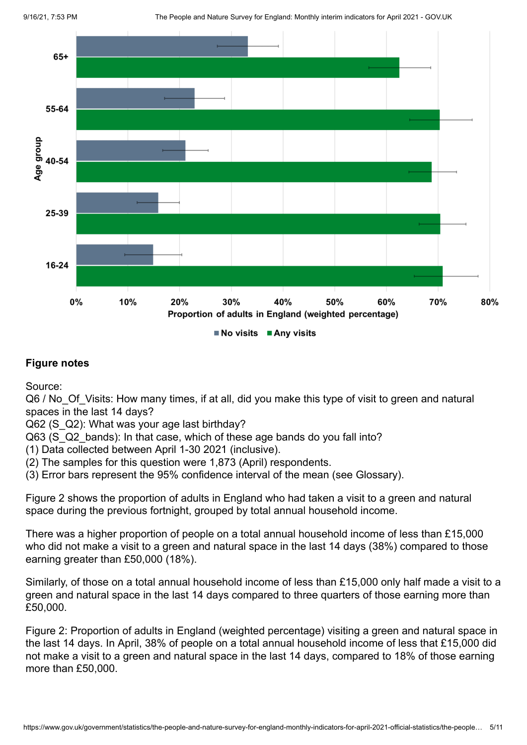9/16/21, 7:53 PM The People and Nature Survey for England: Monthly interim indicators for April 2021 - GOV.UK



#### **Figure notes**

Source:

Q6 / No Of Visits: How many times, if at all, did you make this type of visit to green and natural spaces in the last 14 days?

Q62 (S\_Q2): What was your age last birthday?

Q63 (S Q2 bands): In that case, which of these age bands do you fall into?

(1) Data collected between April 1-30 2021 (inclusive).

(2) The samples for this question were 1,873 (April) respondents.

(3) Error bars represent the 95% confidence interval of the mean (see Glossary).

Figure 2 shows the proportion of adults in England who had taken a visit to a green and natural space during the previous fortnight, grouped by total annual household income.

There was a higher proportion of people on a total annual household income of less than £15,000 who did not make a visit to a green and natural space in the last 14 days (38%) compared to those earning greater than £50,000 (18%).

Similarly, of those on a total annual household income of less than £15,000 only half made a visit to a green and natural space in the last 14 days compared to three quarters of those earning more than £50,000.

Figure 2: Proportion of adults in England (weighted percentage) visiting a green and natural space in the last 14 days. In April, 38% of people on a total annual household income of less that £15,000 did not make a visit to a green and natural space in the last 14 days, compared to 18% of those earning more than £50,000.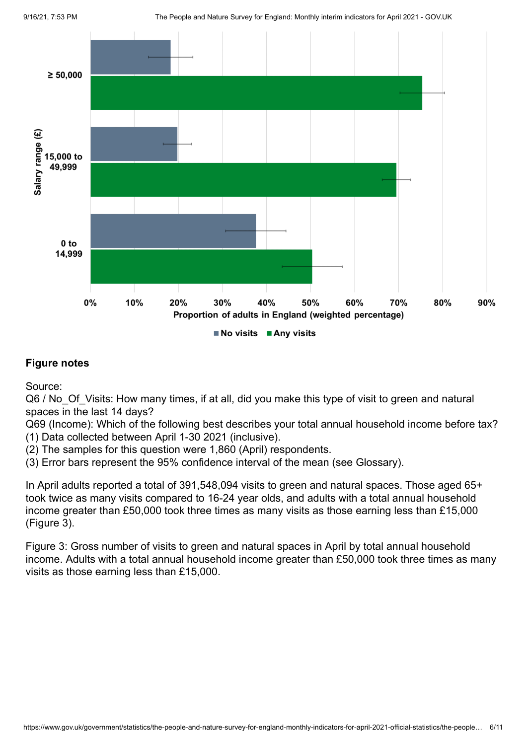

Source:

Q6 / No Of Visits: How many times, if at all, did you make this type of visit to green and natural spaces in the last 14 days?

Q69 (Income): Which of the following best describes your total annual household income before tax? (1) Data collected between April 1-30 2021 (inclusive).

(2) The samples for this question were 1,860 (April) respondents.

(3) Error bars represent the 95% confidence interval of the mean (see Glossary).

In April adults reported a total of 391,548,094 visits to green and natural spaces. Those aged 65+ took twice as many visits compared to 16-24 year olds, and adults with a total annual household income greater than £50,000 took three times as many visits as those earning less than £15,000 (Figure 3).

Figure 3: Gross number of visits to green and natural spaces in April by total annual household income. Adults with a total annual household income greater than £50,000 took three times as many visits as those earning less than £15,000.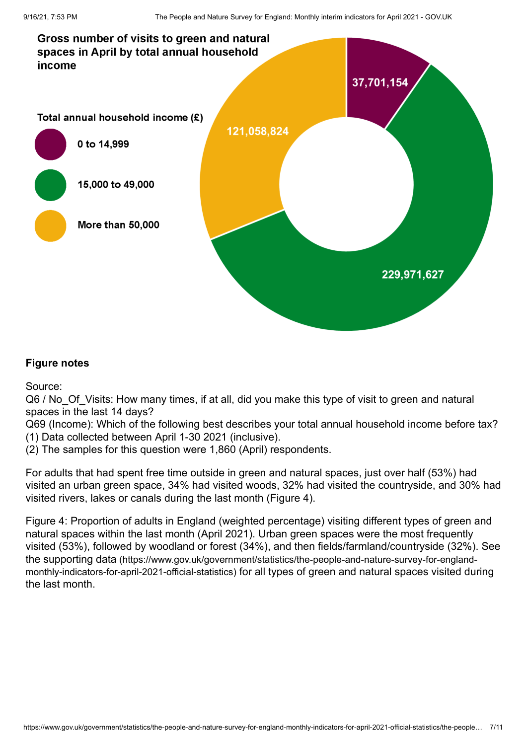

Source:

Q6 / No Of Visits: How many times, if at all, did you make this type of visit to green and natural spaces in the last 14 days?

Q69 (Income): Which of the following best describes your total annual household income before tax? (1) Data collected between April 1-30 2021 (inclusive).

(2) The samples for this question were 1,860 (April) respondents.

For adults that had spent free time outside in green and natural spaces, just over half (53%) had visited an urban green space, 34% had visited woods, 32% had visited the countryside, and 30% had visited rivers, lakes or canals during the last month (Figure 4).

Figure 4: Proportion of adults in England (weighted percentage) visiting different types of green and natural spaces within the last month (April 2021). Urban green spaces were the most frequently visited (53%), followed by woodland or forest (34%), and then fields/farmland/countryside (32%). See the supporting data [\(https://www.gov.uk/government/statistics/the-people-and-nature-survey-for-england](https://www.gov.uk/government/statistics/the-people-and-nature-survey-for-england-monthly-indicators-for-april-2021-official-statistics)monthly-indicators-for-april-2021-official-statistics) for all types of green and natural spaces visited during the last month.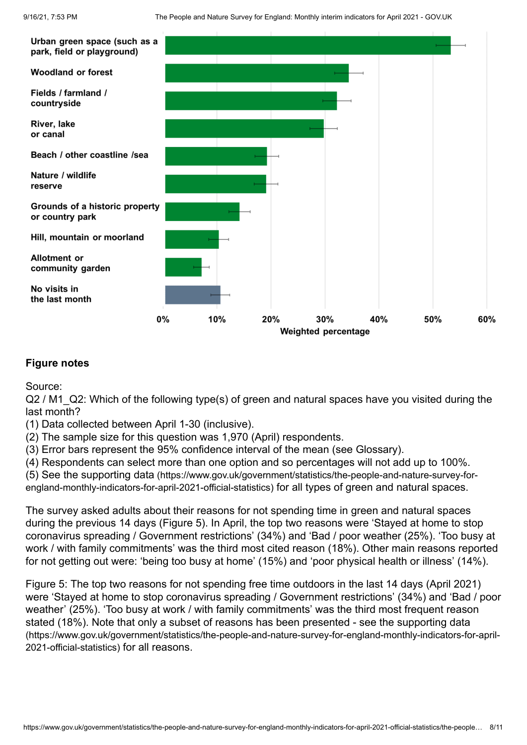

Source:

Q2 / M1\_Q2: Which of the following type(s) of green and natural spaces have you visited during the last month?

(1) Data collected between April 1-30 (inclusive).

(2) The sample size for this question was 1,970 (April) respondents.

(3) Error bars represent the 95% confidence interval of the mean (see Glossary).

(4) Respondents can select more than one option and so percentages will not add up to 100%.

(5) See the supporting data [\(https://www.gov.uk/government/statistics/the-people-and-nature-survey-for-](https://www.gov.uk/government/statistics/the-people-and-nature-survey-for-england-monthly-indicators-for-april-2021-official-statistics)

england-monthly-indicators-for-april-2021-official-statistics) for all types of green and natural spaces.

The survey asked adults about their reasons for not spending time in green and natural spaces during the previous 14 days (Figure 5). In April, the top two reasons were 'Stayed at home to stop coronavirus spreading / Government restrictions' (34%) and 'Bad / poor weather (25%). 'Too busy at work / with family commitments' was the third most cited reason (18%). Other main reasons reported for not getting out were: 'being too busy at home' (15%) and 'poor physical health or illness' (14%).

Figure 5: The top two reasons for not spending free time outdoors in the last 14 days (April 2021) were 'Stayed at home to stop coronavirus spreading / Government restrictions' (34%) and 'Bad / poor weather' (25%). 'Too busy at work / with family commitments' was the third most frequent reason [stated \(18%\). Note that only a subset of reasons has been presented - see the supporting data](https://www.gov.uk/government/statistics/the-people-and-nature-survey-for-england-monthly-indicators-for-april-2021-official-statistics) (https://www.gov.uk/government/statistics/the-people-and-nature-survey-for-england-monthly-indicators-for-april-2021-official-statistics) for all reasons.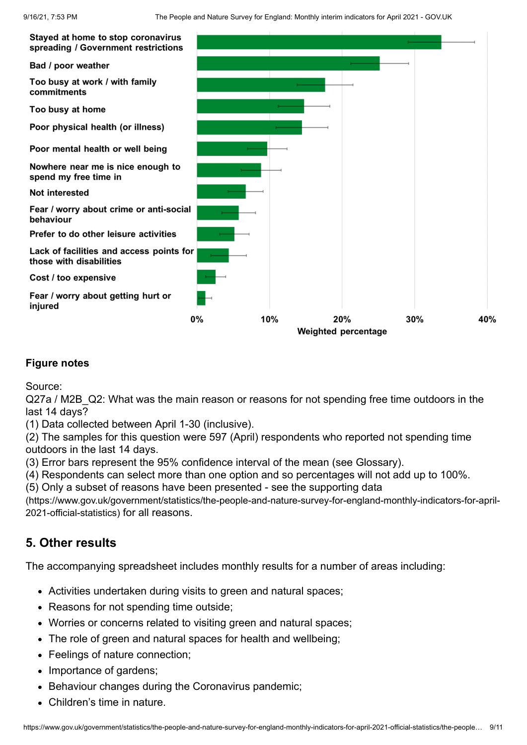

Source:

Q27a / M2B Q2: What was the main reason or reasons for not spending free time outdoors in the last 14 days?

(1) Data collected between April 1-30 (inclusive).

(2) The samples for this question were 597 (April) respondents who reported not spending time outdoors in the last 14 days.

(3) Error bars represent the 95% confidence interval of the mean (see Glossary).

(4) Respondents can select more than one option and so percentages will not add up to 100%.

(5) Only a subset of reasons have been presented - see the supporting data

[\(https://www.gov.uk/government/statistics/the-people-and-nature-survey-for-england-monthly-indicators-for-april-](https://www.gov.uk/government/statistics/the-people-and-nature-survey-for-england-monthly-indicators-for-april-2021-official-statistics)2021-official-statistics) for all reasons.

## **5. Other results**

The accompanying spreadsheet includes monthly results for a number of areas including:

- Activities undertaken during visits to green and natural spaces;
- Reasons for not spending time outside;
- Worries or concerns related to visiting green and natural spaces;
- The role of green and natural spaces for health and wellbeing;
- Feelings of nature connection:
- Importance of gardens;
- Behaviour changes during the Coronavirus pandemic;
- Children's time in nature.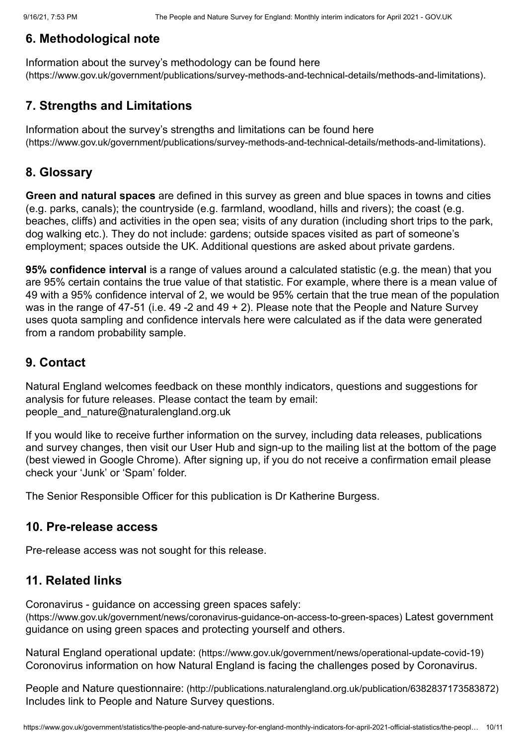## **6. Methodological note**

Information about the survey's methodology can be found here [\(https://www.gov.uk/government/publications/survey-methods-and-technical-details/methods-and-limitations\)](https://www.gov.uk/government/publications/survey-methods-and-technical-details/methods-and-limitations).

## **7. Strengths and Limitations**

Information about the survey's strengths and limitations can be found here [\(https://www.gov.uk/government/publications/survey-methods-and-technical-details/methods-and-limitations\)](https://www.gov.uk/government/publications/survey-methods-and-technical-details/methods-and-limitations).

## **8. Glossary**

**Green and natural spaces** are defined in this survey as green and blue spaces in towns and cities (e.g. parks, canals); the countryside (e.g. farmland, woodland, hills and rivers); the coast (e.g. beaches, cliffs) and activities in the open sea; visits of any duration (including short trips to the park, dog walking etc.). They do not include: gardens; outside spaces visited as part of someone's employment; spaces outside the UK. Additional questions are asked about private gardens.

**95% confidence interval** is a range of values around a calculated statistic (e.g. the mean) that you are 95% certain contains the true value of that statistic. For example, where there is a mean value of 49 with a 95% confidence interval of 2, we would be 95% certain that the true mean of the population was in the range of 47-51 (i.e. 49 -2 and 49 + 2). Please note that the People and Nature Survey uses quota sampling and confidence intervals here were calculated as if the data were generated from a random probability sample.

## **9. Contact**

Natural England welcomes feedback on these monthly indicators, questions and suggestions for analysis for future releases. Please contact the team by email: people and nature@naturalengland.org.uk

If you would like to receive further information on the survey, including data releases, publications and survey changes, then visit our User Hub and sign-up to the mailing list at the bottom of the page (best viewed in Google Chrome). After signing up, if you do not receive a confirmation email please check your 'Junk' or 'Spam' folder.

The Senior Responsible Officer for this publication is Dr Katherine Burgess.

#### **10. Pre-release access**

Pre-release access was not sought for this release.

## **11. Related links**

Coronavirus - guidance on accessing green spaces safely: [\(https://www.gov.uk/government/news/coronavirus-guidance-on-access-to-green-spaces\)](https://www.gov.uk/government/news/coronavirus-guidance-on-access-to-green-spaces) Latest government guidance on using green spaces and protecting yourself and others.

Natural England operational update: [\(https://www.gov.uk/government/news/operational-update-covid-19\)](https://www.gov.uk/government/news/operational-update-covid-19) Coronovirus information on how Natural England is facing the challenges posed by Coronavirus.

People and Nature questionnaire: [\(http://publications.naturalengland.org.uk/publication/6382837173583872\)](http://publications.naturalengland.org.uk/publication/6382837173583872) Includes link to People and Nature Survey questions.